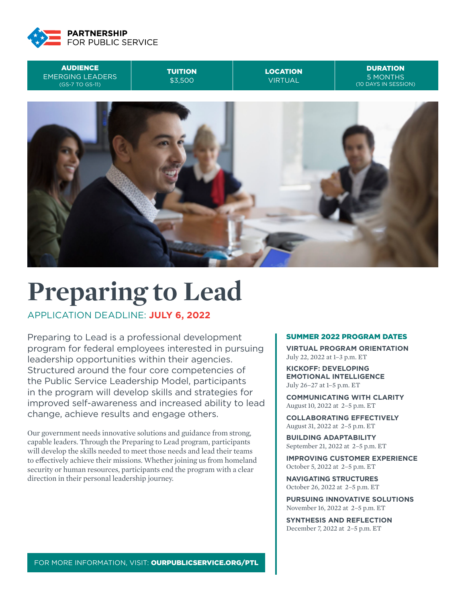





# **Preparing to Lead**

APPLICATION DEADLINE: **JULY 6, 2022**

Preparing to Lead is a professional development program for federal employees interested in pursuing leadership opportunities within their agencies. Structured around the four core competencies of the Public Service Leadership Model, participants in the program will develop skills and strategies for improved self-awareness and increased ability to lead change, achieve results and engage others.

Our government needs innovative solutions and guidance from strong, capable leaders. Through the Preparing to Lead program, participants will develop the skills needed to meet those needs and lead their teams to effectively achieve their missions. Whether joining us from homeland security or human resources, participants end the program with a clear direction in their personal leadership journey.

#### SUMMER 2022 PROGRAM DATES

**VIRTUAL PROGRAM ORIENTATION** July 22, 2022 at 1–3 p.m. ET

**KICKOFF: DEVELOPING EMOTIONAL INTELLIGENCE** July 26–27 at 1–5 p.m. ET

**COMMUNICATING WITH CLARITY** August 10, 2022 at 2–5 p.m. ET

**COLLABORATING EFFECTIVELY** August 31, 2022 at 2–5 p.m. ET

**BUILDING ADAPTABILITY** September 21, 2022 at 2–5 p.m. ET

**IMPROVING CUSTOMER EXPERIENCE** October 5, 2022 at 2–5 p.m. ET

**NAVIGATING STRUCTURES** October 26, 2022 at 2–5 p.m. ET

**PURSUING INNOVATIVE SOLUTIONS** November 16, 2022 at 2–5 p.m. ET

**SYNTHESIS AND REFLECTION** December 7, 2022 at 2–5 p.m. ET